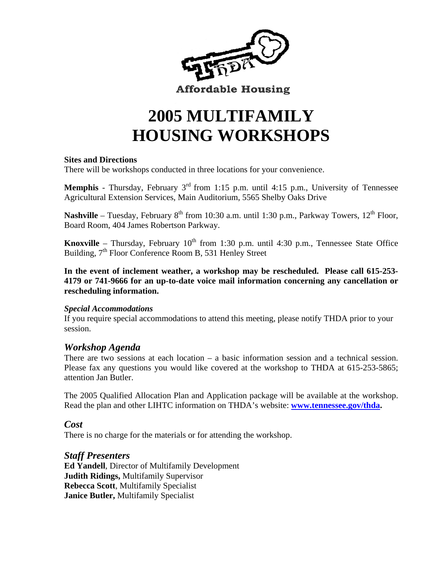

**Affordable Housing** 

# **2005 MULTIFAMILY HOUSING WORKSHOPS**

#### **Sites and Directions**

There will be workshops conducted in three locations for your convenience.

**Memphis** - Thursday, February 3<sup>rd</sup> from 1:15 p.m. until 4:15 p.m., University of Tennessee Agricultural Extension Services, Main Auditorium, 5565 Shelby Oaks Drive

**Nashville** – Tuesday, February  $8<sup>th</sup>$  from 10:30 a.m. until 1:30 p.m., Parkway Towers,  $12<sup>th</sup>$  Floor, Board Room, 404 James Robertson Parkway.

**Knoxville** – Thursday, February  $10^{th}$  from 1:30 p.m. until 4:30 p.m., Tennessee State Office Building,  $7<sup>th</sup>$  Floor Conference Room B, 531 Henley Street

**In the event of inclement weather, a workshop may be rescheduled. Please call 615-253- 4179 or 741-9666 for an up-to-date voice mail information concerning any cancellation or rescheduling information.** 

#### *Special Accommodations*

If you require special accommodations to attend this meeting, please notify THDA prior to your session.

#### *Workshop Agenda*

There are two sessions at each location – a basic information session and a technical session. Please fax any questions you would like covered at the workshop to THDA at 615-253-5865; attention Jan Butler.

The 2005 Qualified Allocation Plan and Application package will be available at the workshop. Read the plan and other LIHTC information on THDA's website: **www.tennessee.gov/thda.**

#### *Cost*

There is no charge for the materials or for attending the workshop.

#### *Staff Presenters*

**Ed Yandell**, Director of Multifamily Development **Judith Ridings,** Multifamily Supervisor **Rebecca Scott**, Multifamily Specialist **Janice Butler,** Multifamily Specialist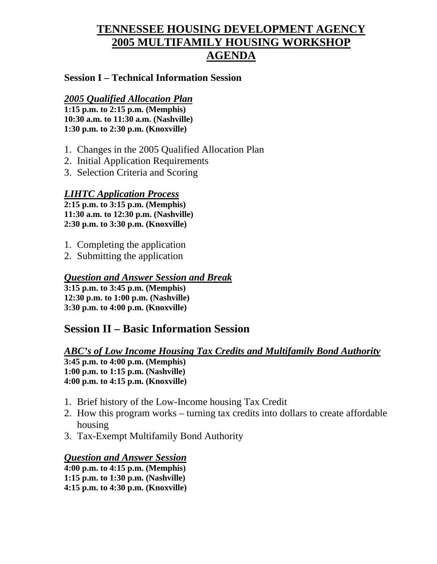# **TENNESSEE HOUSING DEVELOPMENT AGENCY 2005 MULTIFAMILY HOUSING WORKSHOP AGENDA**

#### **Session I – Technical Information Session**

#### *2005 Qualified Allocation Plan*

**1:15 p.m. to 2:15 p.m. (Memphis) 10:30 a.m. to 11:30 a.m. (Nashville) 1:30 p.m. to 2:30 p.m. (Knoxville)** 

- 1. Changes in the 2005 Qualified Allocation Plan
- 2. Initial Application Requirements
- 3. Selection Criteria and Scoring

#### *LIHTC Application Process*

**2:15 p.m. to 3:15 p.m. (Memphis) 11:30 a.m. to 12:30 p.m. (Nashville) 2:30 p.m. to 3:30 p.m. (Knoxville)** 

- 1. Completing the application
- 2. Submitting the application

### *Question and Answer Session and Break*

**3:15 p.m. to 3:45 p.m. (Memphis) 12:30 p.m. to 1:00 p.m. (Nashville) 3:30 p.m. to 4:00 p.m. (Knoxville)** 

# **Session II – Basic Information Session**

# *ABC's of Low Income Housing Tax Credits and Multifamily Bond Authority*

**3:45 p.m. to 4:00 p.m. (Memphis) 1:00 p.m. to 1:15 p.m. (Nashville) 4:00 p.m. to 4:15 p.m. (Knoxville)** 

- 1. Brief history of the Low-Income housing Tax Credit
- 2. How this program works turning tax credits into dollars to create affordable housing
- 3. Tax-Exempt Multifamily Bond Authority

#### *Question and Answer Session*

**4:00 p.m. to 4:15 p.m. (Memphis) 1:15 p.m. to 1:30 p.m. (Nashville) 4:15 p.m. to 4:30 p.m. (Knoxville)**